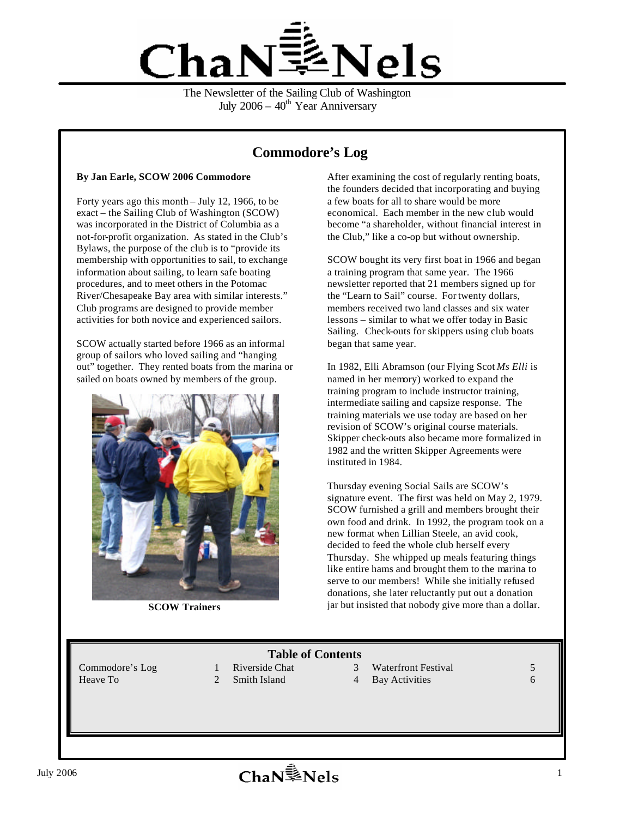

The Newsletter of the Sailing Club of Washington July  $2006 - 40$ <sup>th</sup> Year Anniversary

# **Commodore's Log**

#### **By Jan Earle, SCOW 2006 Commodore**

Forty years ago this month – July 12, 1966, to be exact – the Sailing Club of Washington (SCOW) was incorporated in the District of Columbia as a not-for-profit organization. As stated in the Club's Bylaws, the purpose of the club is to "provide its membership with opportunities to sail, to exchange information about sailing, to learn safe boating procedures, and to meet others in the Potomac River/Chesapeake Bay area with similar interests." Club programs are designed to provide member activities for both novice and experienced sailors.

SCOW actually started before 1966 as an informal group of sailors who loved sailing and "hanging out" together. They rented boats from the marina or sailed on boats owned by members of the group.



**SCOW Trainers**

After examining the cost of regularly renting boats, the founders decided that incorporating and buying a few boats for all to share would be more economical. Each member in the new club would become "a shareholder, without financial interest in the Club," like a co-op but without ownership.

SCOW bought its very first boat in 1966 and began a training program that same year. The 1966 newsletter reported that 21 members signed up for the "Learn to Sail" course. For twenty dollars, members received two land classes and six water lessons – similar to what we offer today in Basic Sailing. Check-outs for skippers using club boats began that same year.

In 1982, Elli Abramson (our Flying Scot *Ms Elli* is named in her memory) worked to expand the training program to include instructor training, intermediate sailing and capsize response. The training materials we use today are based on her revision of SCOW's original course materials. Skipper check-outs also became more formalized in 1982 and the written Skipper Agreements were instituted in 1984.

Thursday evening Social Sails are SCOW's signature event. The first was held on May 2, 1979. SCOW furnished a grill and members brought their own food and drink. In 1992, the program took on a new format when Lillian Steele, an avid cook, decided to feed the whole club herself every Thursday. She whipped up meals featuring things like entire hams and brought them to the marina to serve to our members! While she initially refused donations, she later reluctantly put out a donation jar but insisted that nobody give more than a dollar.

**Table of Contents**<br>1 Riverside Chat 3

- 
- Commodore's Log 1 Riverside Chat 3 Waterfront Festival 5
- Heave To 2 Smith Island 4 Bay Activities 6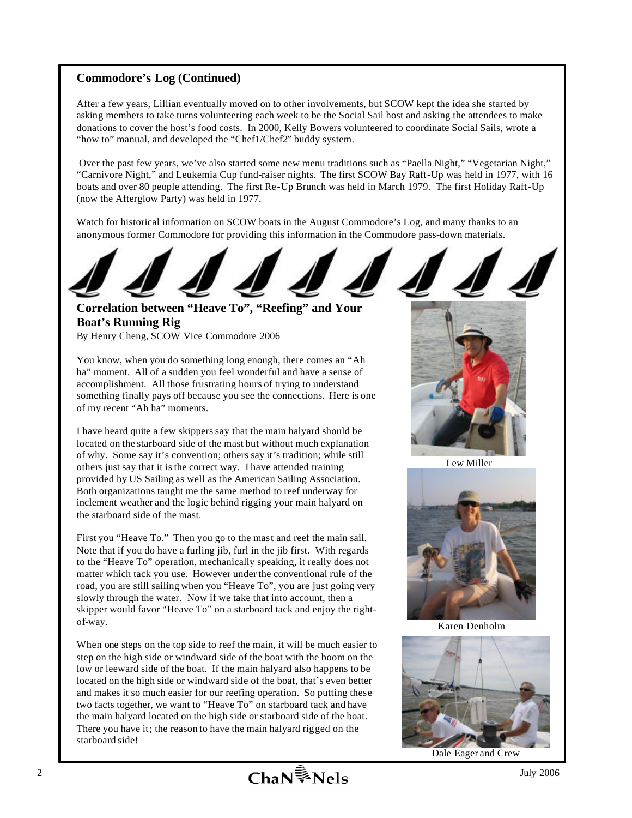### **Commodore's Log (Continued)**

After a few years, Lillian eventually moved on to other involvements, but SCOW kept the idea she started by asking members to take turns volunteering each week to be the Social Sail host and asking the attendees to make donations to cover the host's food costs. In 2000, Kelly Bowers volunteered to coordinate Social Sails, wrote a "how to" manual, and developed the "Chef1/Chef2" buddy system.

 Over the past few years, we've also started some new menu traditions such as "Paella Night," "Vegetarian Night," "Carnivore Night," and Leukemia Cup fund-raiser nights. The first SCOW Bay Raft-Up was held in 1977, with 16 boats and over 80 people attending. The first Re-Up Brunch was held in March 1979. The first Holiday Raft-Up (now the Afterglow Party) was held in 1977.

Watch for historical information on SCOW boats in the August Commodore's Log, and many thanks to an anonymous former Commodore for providing this information in the Commodore pass-down materials.



## **Correlation between "Heave To", "Reefing" and Your Boat's Running Rig**

By Henry Cheng, SCOW Vice Commodore 2006

You know, when you do something long enough, there comes an "Ah ha" moment. All of a sudden you feel wonderful and have a sense of accomplishment. All those frustrating hours of trying to understand something finally pays off because you see the connections. Here is one of my recent "Ah ha" moments.

I have heard quite a few skippers say that the main halyard should be located on the starboard side of the mast but without much explanation of why. Some say it's convention; others say it's tradition; while still others just say that it is the correct way. I have attended training provided by US Sailing as well as the American Sailing Association. Both organizations taught me the same method to reef underway for inclement weather and the logic behind rigging your main halyard on the starboard side of the mast.

First you "Heave To." Then you go to the mast and reef the main sail. Note that if you do have a furling jib, furl in the jib first. With regards to the "Heave To" operation, mechanically speaking, it really does not matter which tack you use. However under the conventional rule of the road, you are still sailing when you "Heave To", you are just going very slowly through the water. Now if we take that into account, then a skipper would favor "Heave To" on a starboard tack and enjoy the rightof-way.

When one steps on the top side to reef the main, it will be much easier to step on the high side or windward side of the boat with the boom on the low or leeward side of the boat. If the main halyard also happens to be located on the high side or windward side of the boat, that's even better and makes it so much easier for our reefing operation. So putting these two facts together, we want to "Heave To" on starboard tack and have the main halyard located on the high side or starboard side of the boat. There you have it; the reason to have the main halyard rigged on the starboard side!



Lew Miller



Karen Denholm



Dale Eager and Crew

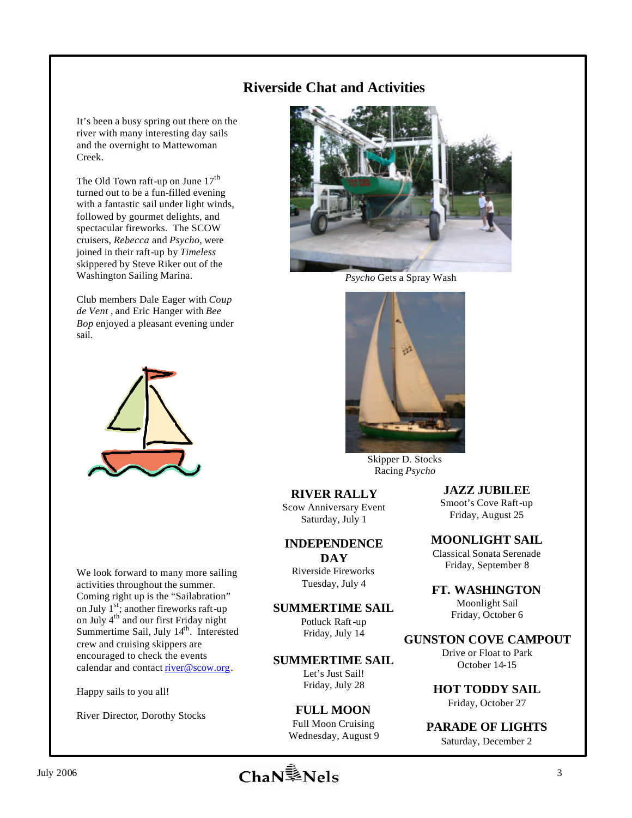## **Riverside Chat and Activities**

It's been a busy spring out there on the river with many interesting day sails and the overnight to Mattewoman Creek.

The Old Town raft-up on June  $17<sup>th</sup>$ turned out to be a fun-filled evening with a fantastic sail under light winds, followed by gourmet delights, and spectacular fireworks. The SCOW cruisers, *Rebecca* and *Psycho*, were joined in their raft-up by *Timeless*  skippered by Steve Riker out of the Washington Sailing Marina.

Club members Dale Eager with *Coup de Vent* , and Eric Hanger with *Bee Bop* enjoyed a pleasant evening under sail.



We look forward to many more sailing activities throughout the summer. Coming right up is the "Sailabration" on July  $1^{st}$ ; another fireworks raft-up on July 4<sup>th</sup> and our first Friday night Summertime Sail, July 14<sup>th</sup>. Interested crew and cruising skippers are encouraged to check the events calendar and contact river@scow.org.

Happy sails to you all!

River Director, Dorothy Stocks



*Psycho* Gets a Spray Wash



Skipper D. Stocks Racing *Psycho*

#### **RIVER RALLY**

Scow Anniversary Event Saturday, July 1

#### **INDEPENDENCE**

**DAY** Riverside Fireworks Tuesday, July 4

**SUMMERTIME SAIL**

Potluck Raft-up Friday, July 14

**SUMMERTIME SAIL** Let's Just Sail! Friday, July 28

#### **FULL MOON** Full Moon Cruising Wednesday, August 9

**FT. WASHINGTON** Moonlight Sail Friday, October 6

**GUNSTON COVE CAMPOUT** Drive or Float to Park October 14-15

**JAZZ JUBILEE** Smoot's Cove Raft-up Friday, August 25

**MOONLIGHT SAIL** Classical Sonata Serenade Friday, September 8

**HOT TODDY SAIL** Friday, October 27

**PARADE OF LIGHTS** Saturday, December 2

July 2006 **3 Change**  $\sum_{i=1}^{n}$  **Mels** 3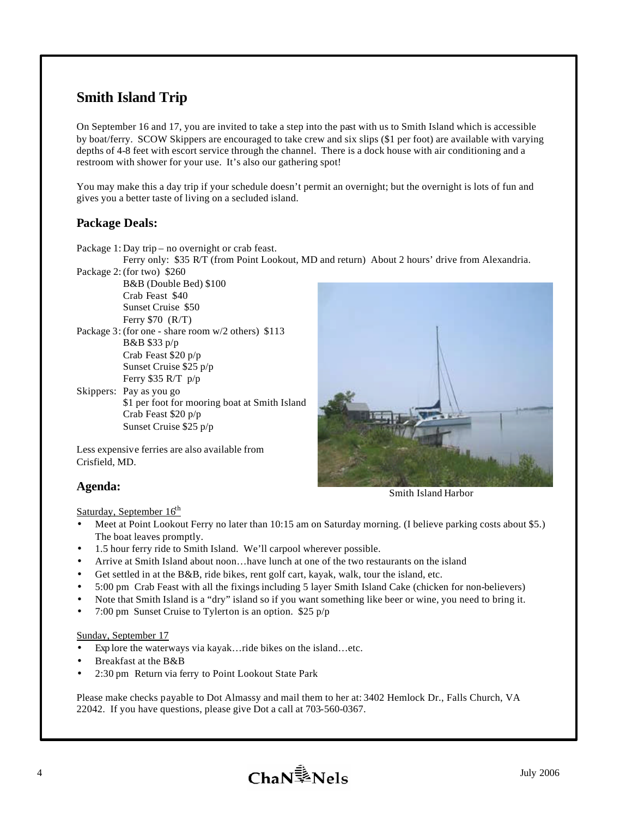# **Smith Island Trip**

On September 16 and 17, you are invited to take a step into the past with us to Smith Island which is accessible by boat/ferry. SCOW Skippers are encouraged to take crew and six slips (\$1 per foot) are available with varying depths of 4-8 feet with escort service through the channel. There is a dock house with air conditioning and a restroom with shower for your use. It's also our gathering spot!

You may make this a day trip if your schedule doesn't permit an overnight; but the overnight is lots of fun and gives you a better taste of living on a secluded island.

### **Package Deals:**

Package 1: Day trip – no overnight or crab feast.

Ferry only: \$35 R/T (from Point Lookout, MD and return) About 2 hours' drive from Alexandria. Package 2: (for two) \$260

B&B (Double Bed) \$100 Crab Feast \$40 Sunset Cruise \$50 Ferry \$70 (R/T)

Package 3: (for one - share room w/2 others) \$113 B&B \$33 p/p Crab Feast \$20 p/p Sunset Cruise \$25 p/p Ferry \$35 R/T p/p

Skippers: Pay as you go \$1 per foot for mooring boat at Smith Island Crab Feast \$20 p/p Sunset Cruise \$25 p/p

Less expensive ferries are also available from Crisfield, MD.

### **Agenda:**

Saturday, September  $16<sup>th</sup>$ 

- Meet at Point Lookout Ferry no later than 10:15 am on Saturday morning. (I believe parking costs about \$5.) The boat leaves promptly.
- 1.5 hour ferry ride to Smith Island. We'll carpool wherever possible.
- Arrive at Smith Island about noon…have lunch at one of the two restaurants on the island
- Get settled in at the B&B, ride bikes, rent golf cart, kayak, walk, tour the island, etc.
- 5:00 pm Crab Feast with all the fixings including 5 layer Smith Island Cake (chicken for non-believers)
- Note that Smith Island is a "dry" island so if you want something like beer or wine, you need to bring it.
- 7:00 pm Sunset Cruise to Tylerton is an option.  $$25 p/p$

#### Sunday, September 17

- Exp lore the waterways via kayak…ride bikes on the island…etc.
- Breakfast at the B&B
- 2:30 pm Return via ferry to Point Lookout State Park

Please make checks payable to Dot Almassy and mail them to her at: 3402 Hemlock Dr., Falls Church, VA 22042. If you have questions, please give Dot a call at 703-560-0367.



Smith Island Harbor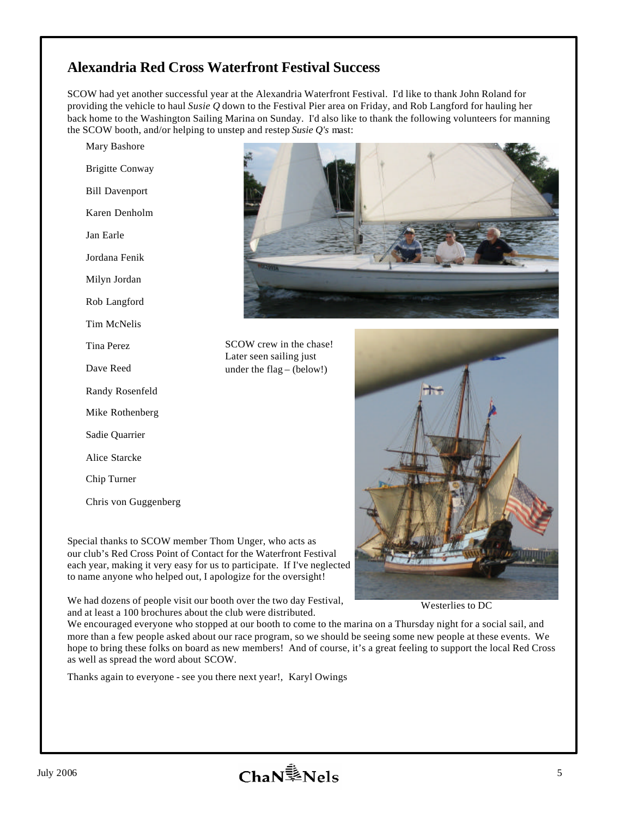## **Alexandria Red Cross Waterfront Festival Success**

SCOW had yet another successful year at the Alexandria Waterfront Festival. I'd like to thank John Roland for providing the vehicle to haul *Susie Q* down to the Festival Pier area on Friday, and Rob Langford for hauling her back home to the Washington Sailing Marina on Sunday. I'd also like to thank the following volunteers for manning the SCOW booth, and/or helping to unstep and restep *Susie Q's* mast:

Mary Bashore Brigitte Conway Bill Davenport Karen Denholm Jan Earle Jordana Fenik Milyn Jordan Rob Langford Tim McNelis Tina Perez Dave Reed Randy Rosenfeld Mike Rothenberg Sadie Quarrier Alice Starcke Chip Turner Chris von Guggenberg



SCOW crew in the chase! Later seen sailing just under the flag – (below!)

Special thanks to SCOW member Thom Unger, who acts as our club's Red Cross Point of Contact for the Waterfront Festival each year, making it very easy for us to participate. If I've neglected to name anyone who helped out, I apologize for the oversight!

We had dozens of people visit our booth over the two day Festival, and at least a 100 brochures about the club were distributed.

Westerlies to DC

We encouraged everyone who stopped at our booth to come to the marina on a Thursday night for a social sail, and more than a few people asked about our race program, so we should be seeing some new people at these events. We hope to bring these folks on board as new members! And of course, it's a great feeling to support the local Red Cross as well as spread the word about SCOW.

Thanks again to everyone - see you there next year!, Karyl Owings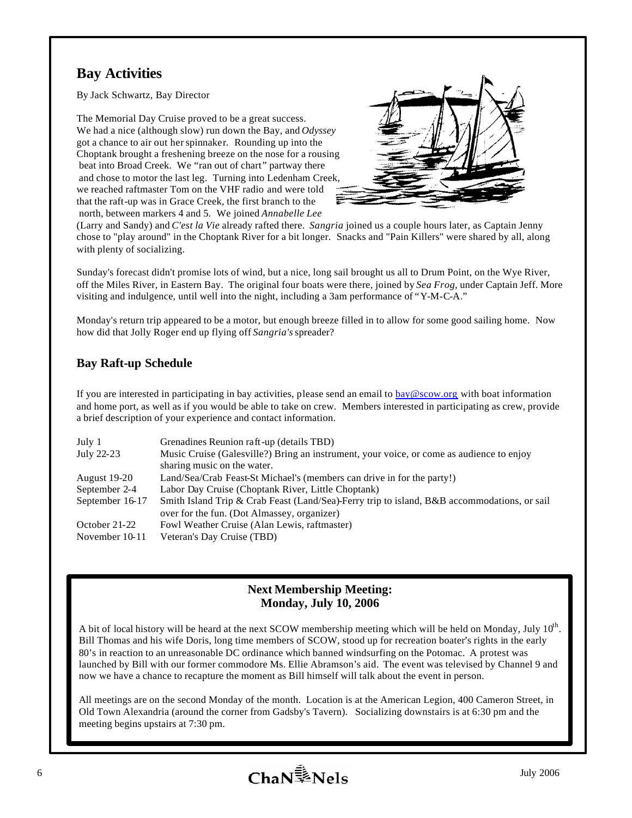# **Bay Activities**

By Jack Schwartz, Bay Director

The Memorial Day Cruise proved to be a great success. We had a nice (although slow) run down the Bay, and *Odyssey* got a chance to air out her spinnaker. Rounding up into the Choptank brought a freshening breeze on the nose for a rousing beat into Broad Creek. We "ran out of chart" partway there and chose to motor the last leg. Turning into Ledenham Creek, we reached raftmaster Tom on the VHF radio and were told that the raft-up was in Grace Creek, the first branch to the north, between markers 4 and 5. We joined *Annabelle Lee*



(Larry and Sandy) and *C'est la Vie* already rafted there. *Sangria* joined us a couple hours later, as Captain Jenny chose to "play around" in the Choptank River for a bit longer. Snacks and "Pain Killers" were shared by all, along with plenty of socializing.

Sunday's forecast didn't promise lots of wind, but a nice, long sail brought us all to Drum Point, on the Wye River, off the Miles River, in Eastern Bay. The original four boats were there, joined by *Sea Frog*, under Captain Jeff. More visiting and indulgence, until well into the night, including a 3am performance of "Y-M-C-A."

Monday's return trip appeared to be a motor, but enough breeze filled in to allow for some good sailing home. Now how did that Jolly Roger end up flying off *Sangria's* spreader?

## **Bay Raft-up Schedule**

If you are interested in participating in bay activities, please send an email to  $\underline{bav@scow.org}$  with boat information and home port, as well as if you would be able to take on crew. Members interested in participating as crew, provide a brief description of your experience and contact information.

| July 1              | Grenadines Reunion raft-up (details TBD)                                                    |
|---------------------|---------------------------------------------------------------------------------------------|
| July 22-23          | Music Cruise (Galesville?) Bring an instrument, your voice, or come as audience to enjoy    |
|                     | sharing music on the water.                                                                 |
| <b>August 19-20</b> | Land/Sea/Crab Feast-St Michael's (members can drive in for the party!)                      |
| September 2-4       | Labor Day Cruise (Choptank River, Little Choptank)                                          |
| September 16-17     | Smith Island Trip & Crab Feast (Land/Sea)-Ferry trip to island, B&B accommodations, or sail |
|                     | over for the fun. (Dot Almassey, organizer)                                                 |
| October 21-22       | Fowl Weather Cruise (Alan Lewis, raftmaster)                                                |
| November 10-11      | Veteran's Day Cruise (TBD)                                                                  |

### **Next Membership Meeting: Monday, July 10, 2006**

A bit of local history will be heard at the next SCOW membership meeting which will be held on Monday, July  $10^{th}$ . Bill Thomas and his wife Doris, long time members of SCOW, stood up for recreation boater's rights in the early 80's in reaction to an unreasonable DC ordinance which banned windsurfing on the Potomac. A protest was launched by Bill with our former commodore Ms. Ellie Abramson's aid. The event was televised by Channel 9 and now we have a chance to recapture the moment as Bill himself will talk about the event in person.

All meetings are on the second Monday of the month. Location is at the American Legion, 400 Cameron Street, in Old Town Alexandria (around the corner from Gadsby's Tavern). Socializing downstairs is at 6:30 pm and the meeting begins upstairs at 7:30 pm.